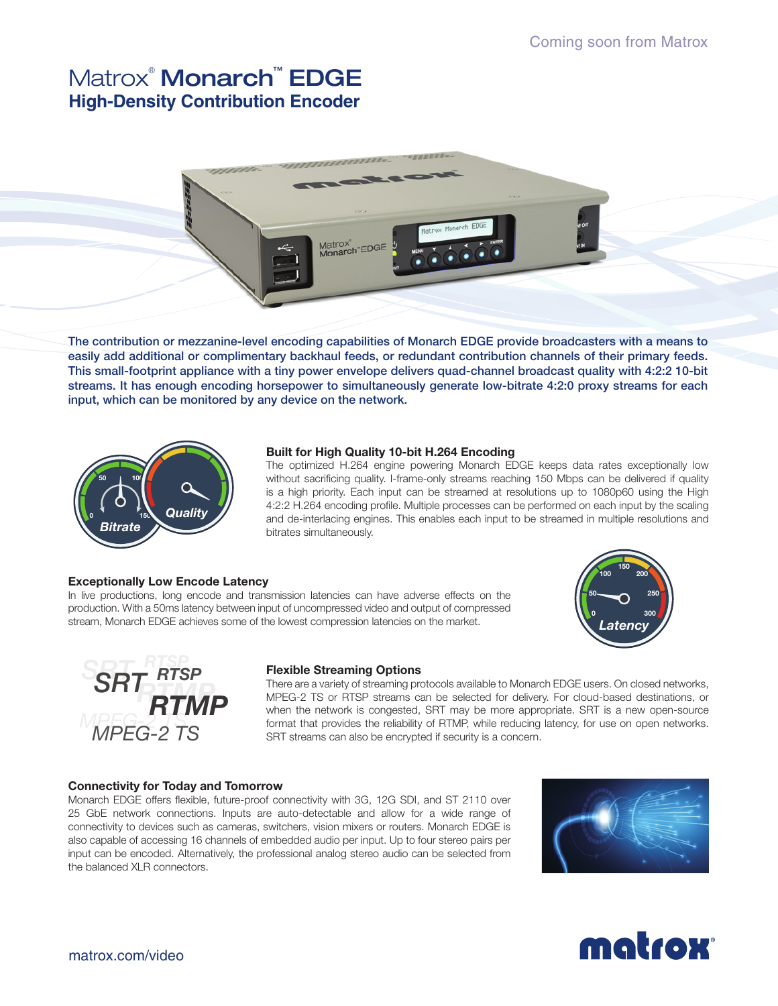# Matrox® Monarch™ EDGE **High-Density Contribution Encoder**



The contribution or mezzanine-level encoding capabilities of Monarch EDGE provide broadcasters with a means to easily add additional or complimentary backhaul feeds, or redundant contribution channels of their primary feeds. This small-footprint appliance with a tiny power envelope delivers quad-channel broadcast quality with 4:2:2 10-bit streams. It has enough encoding horsepower to simultaneously generate low-bitrate 4:2:0 proxy streams for each input, which can be monitored by any device on the network.



### **Built for High Quality 10-bit H.264 Encoding**

The optimized H.264 engine powering Monarch EDGE keeps data rates exceptionally low without sacrificing quality. I-frame-only streams reaching 150 Mbps can be delivered if quality is a high priority. Each input can be streamed at resolutions up to 1080p60 using the High 4:2:2 H.264 encoding profile. Multiple processes can be performed on each input by the scaling and de-interlacing engines. This enables each input to be streamed in multiple resolutions and bitrates simultaneously.

### **Exceptionally Low Encode Latency**

In live productions, long encode and transmission latencies can have adverse effects on the production. With a 50ms latency between input of uncompressed video and output of compressed stream, Monarch EDGE achieves some of the lowest compression latencies on the market.





### **Flexible Streaming Options**

There are a variety of streaming protocols available to Monarch EDGE users. On closed networks, MPEG-2 TS or RTSP streams can be selected for delivery. For cloud-based destinations, or when the network is congested, SRT may be more appropriate. SRT is a new open-source format that provides the reliability of RTMP, while reducing latency, for use on open networks. SRT streams can also be encrypted if security is a concern.

### **Connectivity for Today and Tomorrow**

Monarch EDGE offers flexible, future-proof connectivity with 3G, 12G SDI, and ST 2110 over 25 GbE network connections. Inputs are auto-detectable and allow for a wide range of connectivity to devices such as cameras, switchers, vision mixers or routers. Monarch EDGE is also capable of accessing 16 channels of embedded audio per input. Up to four stereo pairs per input can be encoded. Alternatively, the professional analog stereo audio can be selected from the balanced XLR connectors.